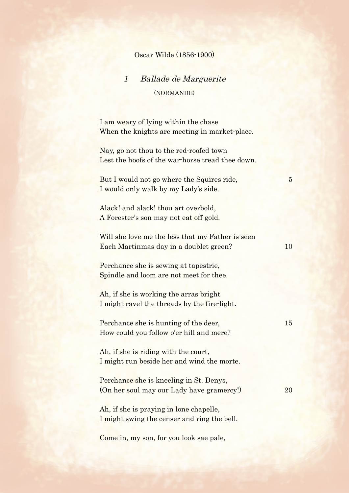## Oscar Wilde (1856-1900)

## 1 Ballade de Marguerite (NORMANDE)

I am weary of lying within the chase When the knights are meeting in market-place.

Nay, go not thou to the red-roofed town Lest the hoofs of the war-horse tread thee down.

But I would not go where the Squires ride, 5 I would only walk by my Lady's side.

Alack! and alack! thou art overbold, A Forester's son may not eat off gold.

Will she love me the less that my Father is seen Each Martinmas day in a doublet green? 10

Perchance she is sewing at tapestrie, Spindle and loom are not meet for thee.

Ah, if she is working the arras bright I might ravel the threads by the fire-light.

Perchance she is hunting of the deer, 15 How could you follow o'er hill and mere?

Ah, if she is riding with the court, I might run beside her and wind the morte.

Perchance she is kneeling in St. Denys, (On her soul may our Lady have gramercy!) 20

Ah, if she is praying in lone chapelle, I might swing the censer and ring the bell.

Come in, my son, for you look sae pale,